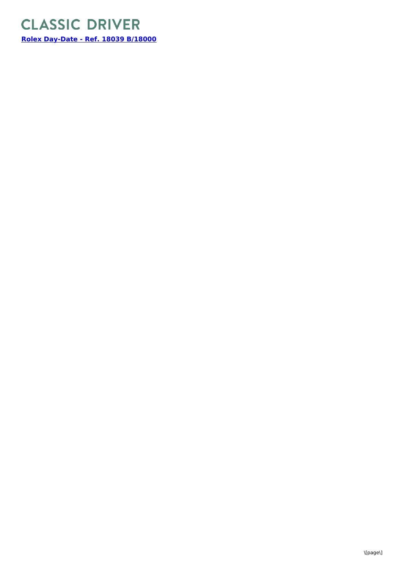## **CLASSIC DRIVER**

**Rolex [Day-Date](https://www.classicdriver.com/en/watch/rolex/day-date/297153) - Ref. 18039 B/18000**